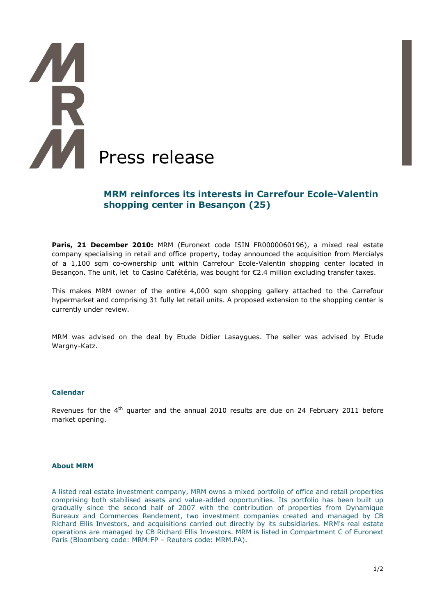# **TAR** í **Press release**

## **MRM reinforces its interests in Carrefour Ecole-Valentin shopping center in Besançon (25)**

**Paris, 21 December 2010:** MRM (Euronext code ISIN FR0000060196), a mixed real estate company specialising in retail and office property, today announced the acquisition from Mercialys of a 1,100 sqm co-ownership unit within Carrefour Ecole-Valentin shopping center located in Besançon. The unit, let to Casino Cafétéria, was bought for €2.4 million excluding transfer taxes.

This makes MRM owner of the entire 4,000 sqm shopping gallery attached to the Carrefour hypermarket and comprising 31 fully let retail units. A proposed extension to the shopping center is currently under review.

MRM was advised on the deal by Etude Didier Lasaygues. The seller was advised by Etude Wargny-Katz.

#### **Calendar**

Revenues for the 4<sup>th</sup> quarter and the annual 2010 results are due on 24 February 2011 before market opening.

#### **About MRM**

A listed real estate investment company, MRM owns a mixed portfolio of office and retail properties comprising both stabilised assets and value-added opportunities. Its portfolio has been built up gradually since the second half of 2007 with the contribution of properties from Dynamique Bureaux and Commerces Rendement, two investment companies created and managed by CB Richard Ellis Investors, and acquisitions carried out directly by its subsidiaries. MRM's real estate operations are managed by CB Richard Ellis Investors. MRM is listed in Compartment C of Euronext Paris (Bloomberg code: MRM:FP – Reuters code: MRM.PA).